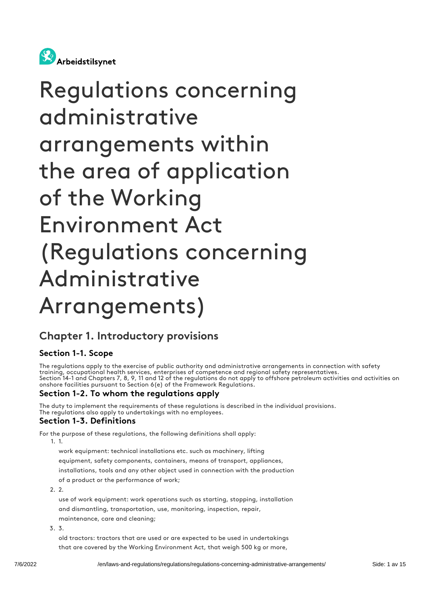

# Regulations concerning administrative arrangements within the area of application of the Working Environment Act (Regulations concerning Administrative Arrangements)

## Chapter 1. Introductory provisions

#### Section 1-1. Scope

The regulations apply to the exercise of public authority and administrative arrangements in connection with safety training, occupational health services, enterprises of competence and regional safety representatives. Section 14-1 and Chapters 7, 8, 9, 11 and 12 of the regulations do not apply to offshore petroleum activities and activities on onshore facilities pursuant to Section 6(e) of the Framework Regulations.

#### Section 1-2. To whom the regulations apply

The duty to implement the requirements of these regulations is described in the individual provisions. The regulations also apply to undertakings with no employees.

#### Section 1-3. Definitions

For the purpose of these regulations, the following definitions shall apply:

1. 1.

work equipment: technical installations etc. such as machinery, lifting equipment, safety components, containers, means of transport, appliances, installations, tools and any other object used in connection with the production of a product or the performance of work;

 $2.2$ 

use of work equipment: work operations such as starting, stopping, installation and dismantling, transportation, use, monitoring, inspection, repair, maintenance, care and cleaning;

3. 3.

old tractors: tractors that are used or are expected to be used in undertakings that are covered by the Working Environment Act, that weigh 500 kg or more,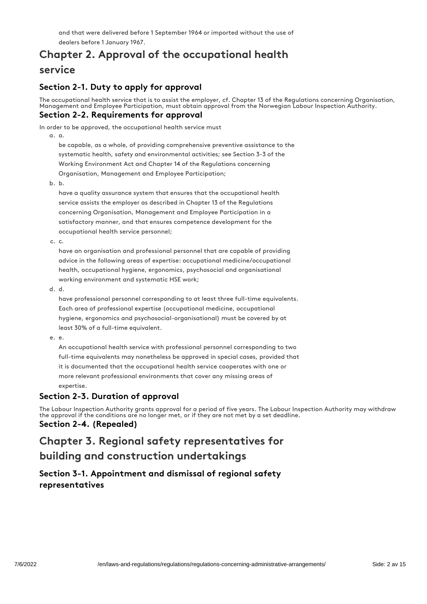and that were delivered before 1 September 1964 or imported without the use of dealers before 1 January 1967.

## Chapter 2. Approval of the occupational health service

#### Section 2-1. Duty to apply for approval

The occupational health service that is to assist the employer, cf. Chapter 13 of the Regulations concerning Organisation, Management and Employee Participation, must obtain approval from the Norwegian Labour Inspection Authority. Section 2-2. Requirements for approval

In order to be approved, the occupational health service must

a. a.

be capable, as a whole, of providing comprehensive preventive assistance to the systematic health, safety and environmental activities; see Section 3-3 of the Working Environment Act and Chapter 14 of the Regulations concerning Organisation, Management and Employee Participation;

b. b.

have a quality assurance system that ensures that the occupational health service assists the employer as described in Chapter 13 of the Regulations concerning Organisation, Management and Employee Participation in a satisfactory manner, and that ensures competence development for the occupational health service personnel;

c. c.

have an organisation and professional personnel that are capable of providing advice in the following areas of expertise: occupational medicine/occupational health, occupational hygiene, ergonomics, psychosocial and organisational working environment and systematic HSE work;

d. d.

have professional personnel corresponding to at least three full-time equivalents. Each area of professional expertise (occupational medicine, occupational hygiene, ergonomics and psychosocial-organisational) must be covered by at least 30% of a full-time equivalent.

e. e.

An occupational health service with professional personnel corresponding to two full-time equivalents may nonetheless be approved in special cases, provided that it is documented that the occupational health service cooperates with one or more relevant professional environments that cover any missing areas of expertise.

#### Section 2-3. Duration of approval

The Labour Inspection Authority grants approval for a period of five years. The Labour Inspection Authority may withdraw the approval if the conditions are no longer met, or if they are not met by a set deadline. Section 2-4. (Repealed)

## Chapter 3. Regional safety representatives for building and construction undertakings

#### Section 3-1. Appointment and dismissal of regional safety representatives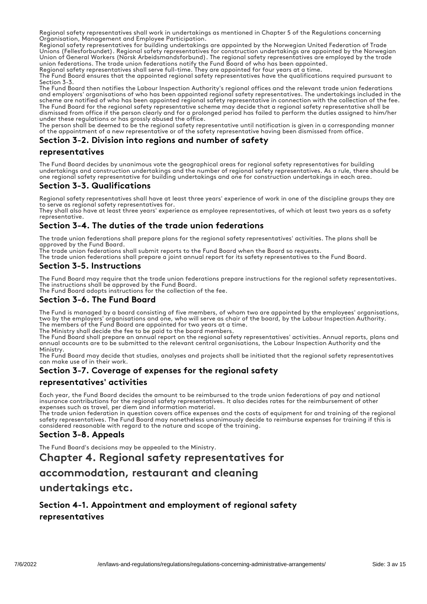Regional safety representatives shall work in undertakings as mentioned in Chapter 5 of the Regulations concerning Organisation, Management and Employee Participation.

Regional safety representatives for building undertakings are appointed by the Norwegian United Federation of Trade Unions (Fellesforbundet). Regional safety representatives for construction undertakings are appointed by the Norwegian Union of General Workers (Norsk Arbeidsmandsforbund). The regional safety representatives are employed by the trade union federations. The trade union federations notify the Fund Board of who has been appointed.

Regional safety representatives shall serve full-time. They are appointed for four years at a time. The Fund Board ensures that the appointed regional safety representatives have the qualifications required pursuant to Section 3-3.

The Fund Board then notifies the Labour Inspection Authority's regional offices and the relevant trade union federations and employers' organisations of who has been appointed regional safety representatives. The undertakings included in the scheme are notified of who has been appointed regional safety representative in connection with the collection of the fee. The Fund Board for the regional safety representative scheme may decide that a regional safety representative shall be dismissed from office if the person clearly and for a prolonged period has failed to perform the duties assigned to him/her under these regulations or has grossly abused the office.

The person shall be deemed to be the regional safety representative until notification is given in a corresponding manner of the appointment of a new representative or of the safety representative having been dismissed from office.

#### Section 3-2. Division into regions and number of safety

#### representatives

The Fund Board decides by unanimous vote the geographical areas for regional safety representatives for building undertakings and construction undertakings and the number of regional safety representatives. As a rule, there should be one regional safety representative for building undertakings and one for construction undertakings in each area.

#### Section 3-3. Qualifications

Regional safety representatives shall have at least three years' experience of work in one of the discipline groups they are to serve as regional safety representatives for.

They shall also have at least three years' experience as employee representatives, of which at least two years as a safety representative.

#### Section 3-4. The duties of the trade union federations

The trade union federations shall prepare plans for the regional safety representatives' activities. The plans shall be approved by the Fund Board.

The trade union federations shall submit reports to the Fund Board when the Board so requests.

The trade union federations shall prepare a joint annual report for its safety representatives to the Fund Board.

#### Section 3-5. Instructions

The Fund Board may require that the trade union federations prepare instructions for the regional safety representatives. The instructions shall be approved by the Fund Board.

The Fund Board adopts instructions for the collection of the fee.

#### Section 3-6. The Fund Board

The Fund is managed by a board consisting of five members, of whom two are appointed by the employees' organisations, two by the employers' organisations and one, who will serve as chair of the board, by the Labour Inspection Authority. The members of the Fund Board are appointed for two years at a time.

The Ministry shall decide the fee to be paid to the board members.

The Fund Board shall prepare an annual report on the regional safety representatives' activities. Annual reports, plans and annual accounts are to be submitted to the relevant central organisations, the Labour Inspection Authority and the **Ministry** 

The Fund Board may decide that studies, analyses and projects shall be initiated that the regional safety representatives can make use of in their work.

#### Section 3-7. Coverage of expenses for the regional safety

#### representatives' activities

Each year, the Fund Board decides the amount to be reimbursed to the trade union federations of pay and national insurance contributions for the regional safety representatives. It also decides rates for the reimbursement of other expenses such as travel, per diem and information material.

The trade union federation in question covers office expenses and the costs of equipment for and training of the regional safety representatives. The Fund Board may nonetheless unanimously decide to reimburse expenses for training if this is considered reasonable with regard to the nature and scope of the training.

#### Section 3-8. Appeals

The Fund Board's decisions may be appealed to the Ministry.

#### Chapter 4. Regional safety representatives for

#### accommodation, restaurant and cleaning

#### undertakings etc.

#### Section 4-1. Appointment and employment of regional safety representatives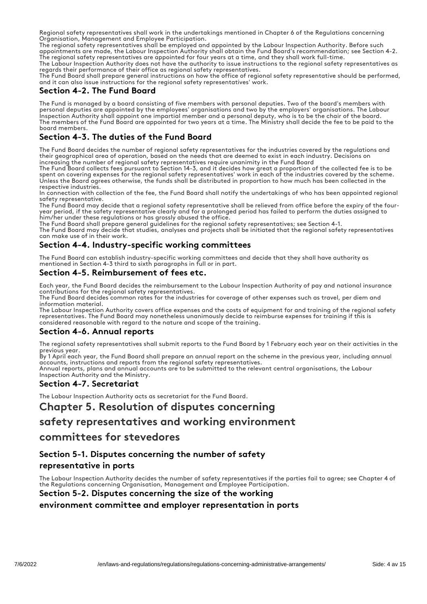Regional safety representatives shall work in the undertakings mentioned in Chapter 6 of the Regulations concerning Organisation, Management and Employee Participation.

The regional safety representatives shall be employed and appointed by the Labour Inspection Authority. Before such appointments are made, the Labour Inspection Authority shall obtain the Fund Board's recommendation; see Section 4-2. The regional safety representatives are appointed for four years at a time, and they shall work full-time.

The Labour Inspection Authority does not have the authority to issue instructions to the regional safety representatives as regards their performance of their office as regional safety representatives.

The Fund Board shall prepare general instructions on how the office of regional safety representative should be performed, and it can also issue instructions for the regional safety representatives' work.

#### Section 4-2. The Fund Board

The Fund is managed by a board consisting of five members with personal deputies. Two of the board's members with personal deputies are appointed by the employees' organisations and two by the employers' organisations. The Labour Inspection Authority shall appoint one impartial member and a personal deputy, who is to be the chair of the board. The members of the Fund Board are appointed for two years at a time. The Ministry shall decide the fee to be paid to the board members.

#### Section 4-3. The duties of the Fund Board

The Fund Board decides the number of regional safety representatives for the industries covered by the regulations and their geographical area of operation, based on the needs that are deemed to exist in each industry. Decisions on increasing the number of regional safety representatives require unanimity in the Fund Board

The Fund Board collects fees pursuant to Section 14-3, and it decides how great a proportion of the collected fee is to be spent on covering expenses for the regional safety representatives' work in each of the industries covered by the scheme. Unless the Board agrees otherwise, the funds shall be distributed in proportion to how much has been collected in the respective industries.

In connection with collection of the fee, the Fund Board shall notify the undertakings of who has been appointed regional safety representative.

The Fund Board may decide that a regional safety representative shall be relieved from office before the expiry of the fouryear period, if the safety representative clearly and for a prolonged period has failed to perform the duties assigned to him/her under these regulations or has grossly abused the office.

The Fund Board shall prepare general guidelines for the regional safety representatives; see Section 4-1.

The Fund Board may decide that studies, analyses and projects shall be initiated that the regional safety representatives can make use of in their work.

#### Section 4-4. Industry-specific working committees

The Fund Board can establish industry-specific working committees and decide that they shall have authority as mentioned in Section 4-3 third to sixth paragraphs in full or in part.

#### Section 4-5. Reimbursement of fees etc.

Each year, the Fund Board decides the reimbursement to the Labour Inspection Authority of pay and national insurance contributions for the regional safety representatives.

The Fund Board decides common rates for the industries for coverage of other expenses such as travel, per diem and information material.

The Labour Inspection Authority covers office expenses and the costs of equipment for and training of the regional safety representatives. The Fund Board may nonetheless unanimously decide to reimburse expenses for training if this is considered reasonable with regard to the nature and scope of the training.

#### Section 4-6. Annual reports

The regional safety representatives shall submit reports to the Fund Board by 1 February each year on their activities in the previous year.

By 1 April each year, the Fund Board shall prepare an annual report on the scheme in the previous year, including annual accounts, instructions and reports from the regional safety representatives.

Annual reports, plans and annual accounts are to be submitted to the relevant central organisations, the Labour Inspection Authority and the Ministry.

#### Section 4-7. Secretariat

The Labour Inspection Authority acts as secretariat for the Fund Board.

#### Chapter 5. Resolution of disputes concerning

#### safety representatives and working environment

#### committees for stevedores

#### Section 5-1. Disputes concerning the number of safety

#### representative in ports

The Labour Inspection Authority decides the number of safety representatives if the parties fail to agree; see Chapter 4 of the Regulations concerning Organisation, Management and Employee Participation.

#### Section 5-2. Disputes concerning the size of the working

#### environment committee and employer representation in ports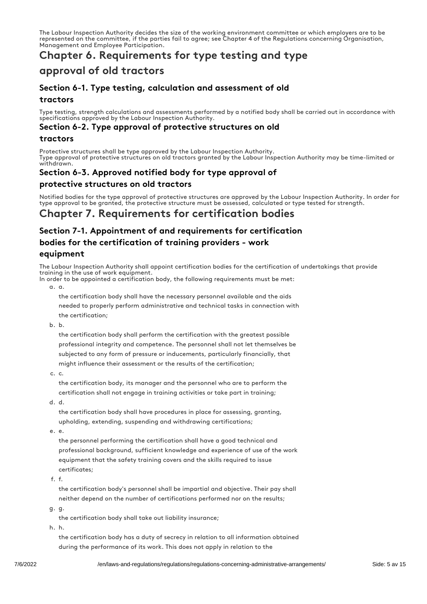The Labour Inspection Authority decides the size of the working environment committee or which employers are to be represented on the committee, if the parties fail to agree; see Chapter 4 of the Regulations concerning Organisation, Management and Employee Participation.

## Chapter 6. Requirements for type testing and type

## approval of old tractors

#### Section 6-1. Type testing, calculation and assessment of old tractors

Type testing, strength calculations and assessments performed by a notified body shall be carried out in accordance with specifications approved by the Labour Inspection Authority.

#### Section 6-2. Type approval of protective structures on old

#### tractors

Protective structures shall be type approved by the Labour Inspection Authority. Type approval of protective structures on old tractors granted by the Labour Inspection Authority may be time-limited or withdrawn

## Section 6-3. Approved notified body for type approval of

#### protective structures on old tractors

Notified bodies for the type approval of protective structures are approved by the Labour Inspection Authority. In order for type approval to be granted, the protective structure must be assessed, calculated or type tested for strength.

## Chapter 7. Requirements for certification bodies

#### Section 7-1. Appointment of and requirements for certification bodies for the certification of training providers - work equipment

The Labour Inspection Authority shall appoint certification bodies for the certification of undertakings that provide training in the use of work equipment.

In order to be appointed a certification body, the following requirements must be met: a. a.

the certification body shall have the necessary personnel available and the aids needed to properly perform administrative and technical tasks in connection with the certification;

b. b.

the certification body shall perform the certification with the greatest possible professional integrity and competence. The personnel shall not let themselves be subjected to any form of pressure or inducements, particularly financially, that might influence their assessment or the results of the certification;

c. c.

the certification body, its manager and the personnel who are to perform the certification shall not engage in training activities or take part in training;

d. d.

the certification body shall have procedures in place for assessing, granting, upholding, extending, suspending and withdrawing certifications;

e. e.

the personnel performing the certification shall have a good technical and professional background, sufficient knowledge and experience of use of the work equipment that the safety training covers and the skills required to issue certificates;

f. f.

the certification body's personnel shall be impartial and objective. Their pay shall neither depend on the number of certifications performed nor on the results;

g. g.

the certification body shall take out liability insurance;

h. h.

the certification body has a duty of secrecy in relation to all information obtained during the performance of its work. This does not apply in relation to the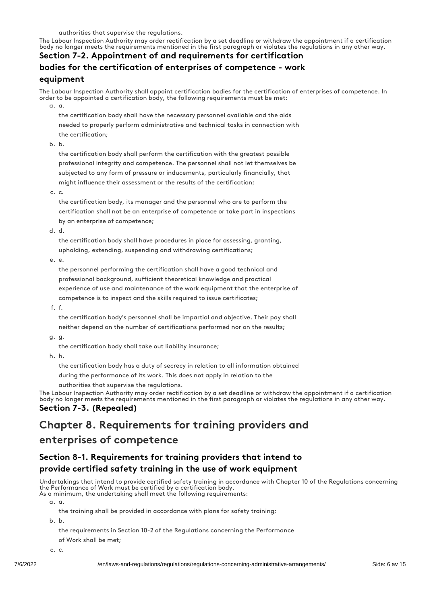The Labour Inspection Authority may order rectification by a set deadline or withdraw the appointment if a certification body no longer meets the requirements mentioned in the first paragraph or violates the regulations in any other way.

## Section 7-2. Appointment of and requirements for certification bodies for the certification of enterprises of competence - work equipment

The Labour Inspection Authority shall appoint certification bodies for the certification of enterprises of competence. In order to be appointed a certification body, the following requirements must be met:

a. a.

the certification body shall have the necessary personnel available and the aids needed to properly perform administrative and technical tasks in connection with the certification;

b. b.

the certification body shall perform the certification with the greatest possible professional integrity and competence. The personnel shall not let themselves be subjected to any form of pressure or inducements, particularly financially, that might influence their assessment or the results of the certification;

c. c.

the certification body, its manager and the personnel who are to perform the certification shall not be an enterprise of competence or take part in inspections by an enterprise of competence;

d. d.

the certification body shall have procedures in place for assessing, granting, upholding, extending, suspending and withdrawing certifications;

e. e.

the personnel performing the certification shall have a good technical and professional background, sufficient theoretical knowledge and practical experience of use and maintenance of the work equipment that the enterprise of competence is to inspect and the skills required to issue certificates;

f. f.

the certification body's personnel shall be impartial and objective. Their pay shall neither depend on the number of certifications performed nor on the results;

g. g.

the certification body shall take out liability insurance;

h. h.

the certification body has a duty of secrecy in relation to all information obtained

during the performance of its work. This does not apply in relation to the

authorities that supervise the regulations.

The Labour Inspection Authority may order rectification by a set deadline or withdraw the appointment if a certification body no longer meets the requirements mentioned in the first paragraph or violates the regulations in any other way. Section 7-3. (Repealed)

## Chapter 8. Requirements for training providers and

## enterprises of competence

### Section 8-1. Requirements for training providers that intend to provide certified safety training in the use of work equipment

Undertakings that intend to provide certified safety training in accordance with Chapter 10 of the Regulations concerning the Performance of Work must be certified by a certification body. As a minimum, the undertaking shall meet the following requirements:

a. a.

the training shall be provided in accordance with plans for safety training;

b. b.

the requirements in Section 10-2 of the Regulations concerning the Performance

of Work shall be met;

c. c.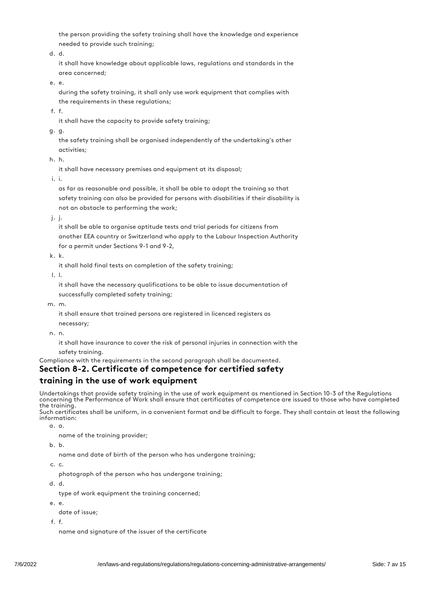the person providing the safety training shall have the knowledge and experience needed to provide such training;

d. d.

it shall have knowledge about applicable laws, regulations and standards in the area concerned;

e. e.

during the safety training, it shall only use work equipment that complies with the requirements in these regulations;

f. f.

it shall have the capacity to provide safety training;

g. g.

the safety training shall be organised independently of the undertaking's other activities;

h. h.

it shall have necessary premises and equipment at its disposal;

i. i.

as far as reasonable and possible, it shall be able to adapt the training so that safety training can also be provided for persons with disabilities if their disability is not an obstacle to performing the work;

j. j.

it shall be able to organise aptitude tests and trial periods for citizens from another EEA country or Switzerland who apply to the Labour Inspection Authority for a permit under Sections 9-1 and 9-2,

k. k.

it shall hold final tests on completion of the safety training;

l. l.

it shall have the necessary qualifications to be able to issue documentation of successfully completed safety training;

m. m.

it shall ensure that trained persons are registered in licenced registers as necessary;

n. n.

it shall have insurance to cover the risk of personal injuries in connection with the safety training.

Compliance with the requirements in the second paragraph shall be documented.

#### Section 8-2. Certificate of competence for certified safety

#### training in the use of work equipment

Undertakings that provide safety training in the use of work equipment as mentioned in Section 10-3 of the Regulations concerning the Performance of Work shall ensure that certificates of competence are issued to those who have completed the training.

Such certificates shall be uniform, in a convenient format and be difficult to forge. They shall contain at least the following information:

a. a.

name of the training provider;

b. b.

name and date of birth of the person who has undergone training;

c. c.

photograph of the person who has undergone training;

d. d.

type of work equipment the training concerned;

- e. e.
	- date of issue;
- f. f.

name and signature of the issuer of the certificate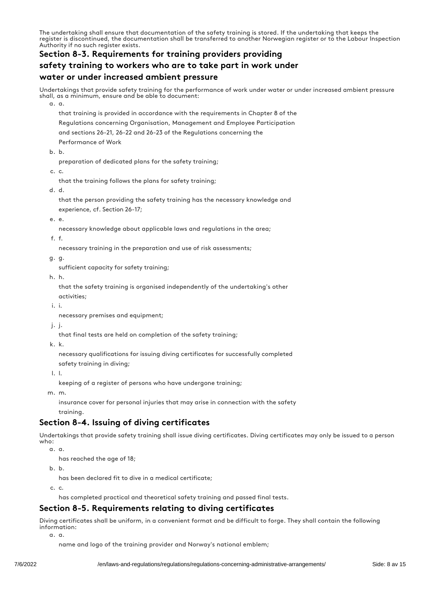The undertaking shall ensure that documentation of the safety training is stored. If the undertaking that keeps the register is discontinued, the documentation shall be transferred to another Norwegian register or to the Labour Inspection Authority if no such register exists.

## Section 8-3. Requirements for training providers providing safety training to workers who are to take part in work under water or under increased ambient pressure

Undertakings that provide safety training for the performance of work under water or under increased ambient pressure shall, as a minimum, ensure and be able to document:

a. a.

that training is provided in accordance with the requirements in Chapter 8 of the Regulations concerning Organisation, Management and Employee Participation and sections 26-21, 26-22 and 26-23 of the Regulations concerning the Performance of Work

b. b.

preparation of dedicated plans for the safety training;

c. c.

that the training follows the plans for safety training;

d. d.

that the person providing the safety training has the necessary knowledge and experience, cf. Section 26-17;

e. e.

necessary knowledge about applicable laws and regulations in the area;

f. f.

necessary training in the preparation and use of risk assessments;

g. g.

sufficient capacity for safety training;

h. h.

that the safety training is organised independently of the undertaking's other activities;

i. i.

necessary premises and equipment;

j. j.

that final tests are held on completion of the safety training;

k. k.

necessary qualifications for issuing diving certificates for successfully completed

safety training in diving;

l. l.

keeping of a register of persons who have undergone training;

m. m.

insurance cover for personal injuries that may arise in connection with the safety training.

#### Section 8-4. Issuing of diving certificates

Undertakings that provide safety training shall issue diving certificates. Diving certificates may only be issued to a person who:

a. a.

has reached the age of 18;

b. b.

has been declared fit to dive in a medical certificate;

c. c.

has completed practical and theoretical safety training and passed final tests.

#### Section 8-5. Requirements relating to diving certificates

Diving certificates shall be uniform, in a convenient format and be difficult to forge. They shall contain the following information:

a. a.

name and logo of the training provider and Norway's national emblem;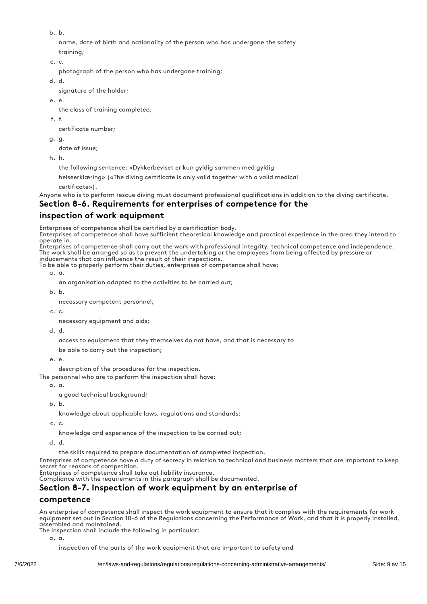b. b.

name, date of birth and nationality of the person who has undergone the safety training;

c. c.

photograph of the person who has undergone training;

d. d.

signature of the holder;

e. e.

the class of training completed;

f. f.

certificate number;

g. g.

date of issue;

h. h.

the following sentence: «Dykkerbeviset er kun gyldig sammen med gyldig

helseerklæring» («The diving certificate is only valid together with a valid medical

certificate»).

Anyone who is to perform rescue diving must document professional qualifications in addition to the diving certificate.

#### Section 8-6. Requirements for enterprises of competence for the

#### inspection of work equipment

Enterprises of competence shall be certified by a certification body.

Enterprises of competence shall have sufficient theoretical knowledge and practical experience in the area they intend to operate in.

Enterprises of competence shall carry out the work with professional integrity, technical competence and independence. The work shall be arranged so as to prevent the undertaking or the employees from being affected by pressure or inducements that can influence the result of their inspections.

To be able to properly perform their duties, enterprises of competence shall have:

a. a.

an organisation adapted to the activities to be carried out;

b. b.

necessary competent personnel;

c. c.

necessary equipment and aids;

d. d.

access to equipment that they themselves do not have, and that is necessary to

be able to carry out the inspection;

e. e.

description of the procedures for the inspection.

The personnel who are to perform the inspection shall have:

a. a.

a good technical background;

b. b.

knowledge about applicable laws, regulations and standards;

c. c.

knowledge and experience of the inspection to be carried out;

d. d.

the skills required to prepare documentation of completed inspection.

Enterprises of competence have a duty of secrecy in relation to technical and business matters that are important to keep secret for reasons of competition.

Enterprises of competence shall take out liability insurance.

Compliance with the requirements in this paragraph shall be documented.

#### Section 8-7. Inspection of work equipment by an enterprise of

#### competence

An enterprise of competence shall inspect the work equipment to ensure that it complies with the requirements for work equipment set out in Section 10-6 of the Regulations concerning the Performance of Work, and that it is properly installed, assembled and maintained.

The inspection shall include the following in particular:

a. a.

inspection of the parts of the work equipment that are important to safety and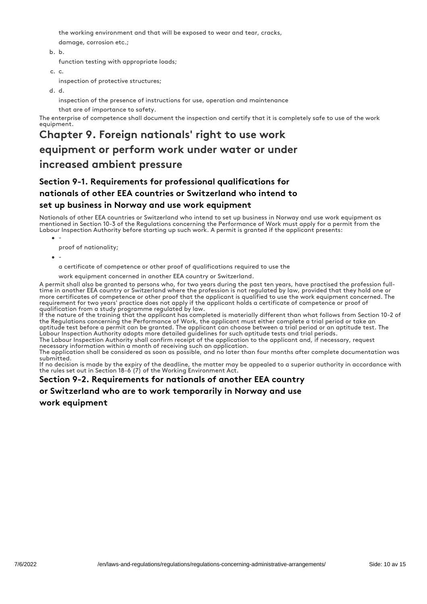the working environment and that will be exposed to wear and tear, cracks,

damage, corrosion etc.;

#### b. b.

function testing with appropriate loads;

c. c.

inspection of protective structures;

d. d.

inspection of the presence of instructions for use, operation and maintenance

that are of importance to safety.

The enterprise of competence shall document the inspection and certify that it is completely safe to use of the work equipment.

## Chapter 9. Foreign nationals' right to use work equipment or perform work under water or under increased ambient pressure

#### Section 9-1. Requirements for professional qualifications for nationals of other EEA countries or Switzerland who intend to set up business in Norway and use work equipment

Nationals of other EEA countries or Switzerland who intend to set up business in Norway and use work equipment as mentioned in Section 10-3 of the Regulations concerning the Performance of Work must apply for a permit from the Labour Inspection Authority before starting up such work. A permit is granted if the applicant presents:

- - proof of nationality;
- -

a certificate of competence or other proof of qualifications required to use the

work equipment concerned in another EEA country or Switzerland.

A permit shall also be granted to persons who, for two years during the past ten years, have practised the profession fulltime in another EEA country or Switzerland where the profession is not regulated by law, provided that they hold one or more certificates of competence or other proof that the applicant is qualified to use the work equipment concerned. The requirement for two years' practice does not apply if the applicant holds a certificate of competence or proof of qualification from a study programme regulated by law.

If the nature of the training that the applicant has completed is materially different than what follows from Section 10-2 of the Regulations concerning the Performance of Work, the applicant must either complete a trial period or take an aptitude test before a permit can be granted. The applicant can choose between a trial period or an aptitude test. The Labour Inspection Authority adopts more detailed guidelines for such aptitude tests and trial periods.

The Labour Inspection Authority shall confirm receipt of the application to the applicant and, if necessary, request necessary information within a month of receiving such an application.

The application shall be considered as soon as possible, and no later than four months after complete documentation was submitted.

If no decision is made by the expiry of the deadline, the matter may be appealed to a superior authority in accordance with the rules set out in Section 18-6 (7) of the Working Environment Act.

#### Section 9-2. Requirements for nationals of another EEA country

#### or Switzerland who are to work temporarily in Norway and use

work equipment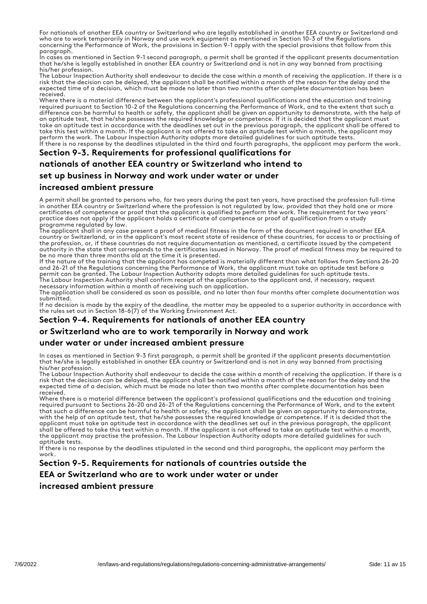For nationals of another EEA country or Switzerland who are legally established in another EEA country or Switzerland and who are to work temporarily in Norway and use work equipment as mentioned in Section 10-3 of the Regulations concerning the Performance of Work, the provisions in Section 9-1 apply with the special provisions that follow from this paragraph.

In cases as mentioned in Section 9-1 second paragraph, a permit shall be granted if the applicant presents documentation that he/she is legally established in another EEA country or Switzerland and is not in any way banned from practising his/her profession.

The Labour Inspection Authority shall endeavour to decide the case within a month of receiving the application. If there is a risk that the decision can be delayed, the applicant shall be notified within a month of the reason for the delay and the expected time of a decision, which must be made no later than two months after complete documentation has been received.

Where there is a material difference between the applicant's professional qualifications and the education and training required pursuant to Section 10-2 of the Regulations concerning the Performance of Work, and to the extent that such a difference can be harmful to health or safety, the applicant shall be given an opportunity to demonstrate, with the help of an aptitude test, that he/she possesses the required knowledge or competence. If it is decided that the applicant must take an aptitude test in accordance with the deadlines set out in the previous paragraph, the applicant shall be offered to take this test within a month. If the applicant is not offered to take an aptitude test within a month, the applicant may perform the work. The Labour Inspection Authority adopts more detailed guidelines for such aptitude tests. If there is no response by the deadlines stipulated in the third and fourth paragraphs, the applicant may perform the work.

#### Section 9-3. Requirements for professional qualifications for

#### nationals of another EEA country or Switzerland who intend to

#### set up business in Norway and work under water or under

#### increased ambient pressure

A permit shall be granted to persons who, for two years during the past ten years, have practised the profession full-time in another EEA country or Switzerland where the profession is not regulated by law, provided that they hold one or more certificates of competence or proof that the applicant is qualified to perform the work. The requirement for two years' practice does not apply if the applicant holds a certificate of competence or proof of qualification from a study programme regulated by law.

The applicant shall in any case present a proof of medical fitness in the form of the document required in another EEA country or Switzerland, or in the applicant's most recent state of residence of these countries, for access to or practising of the profession, or, if these countries do not require documentation as mentioned, a certificate issued by the competent authority in the state that corresponds to the certificates issued in Norway. The proof of medical fitness may be required to be no more than three months old at the time it is presented.

If the nature of the training that the applicant has competed is materially different than what follows from Sections 26-20 and 26-21 of the Regulations concerning the Performance of Work, the applicant must take an aptitude test before a permit can be granted. The Labour Inspection Authority adopts more detailed guidelines for such aptitude tests. The Labour Inspection Authority shall confirm receipt of the application to the applicant and, if necessary, request

necessary information within a month of receiving such an application.

The application shall be considered as soon as possible, and no later than four months after complete documentation was submitted.

If no decision is made by the expiry of the deadline, the matter may be appealed to a superior authority in accordance with the rules set out in Section 18-6(7) of the Working Environment Act.

#### Section 9-4. Requirements for nationals of another EEA country

#### or Switzerland who are to work temporarily in Norway and work

#### under water or under increased ambient pressure

In cases as mentioned in Section 9-3 first paragraph, a permit shall be granted if the applicant presents documentation that he/she is legally established in another EEA country or Switzerland and is not in any way banned from practising his/her profession.

The Labour Inspection Authority shall endeavour to decide the case within a month of receiving the application. If there is a risk that the decision can be delayed, the applicant shall be notified within a month of the reason for the delay and the expected time of a decision, which must be made no later than two months after complete documentation has been received.

Where there is a material difference between the applicant's professional qualifications and the education and training required pursuant to Sections 26-20 and 26-21 of the Regulations concerning the Performance of Work, and to the extent that such a difference can be harmful to health or safety, the applicant shall be given an opportunity to demonstrate, with the help of an aptitude test, that he/she possesses the required knowledge or competence. If it is decided that the applicant must take an aptitude test in accordance with the deadlines set out in the previous paragraph, the applicant shall be offered to take this test within a month. If the applicant is not offered to take an aptitude test within a month, the applicant may practise the profession. The Labour Inspection Authority adopts more detailed guidelines for such aptitude tests.

If there is no response by the deadlines stipulated in the second and third paragraphs, the applicant may perform the work.

#### Section 9-5. Requirements for nationals of countries outside the

#### EEA or Switzerland who are to work under water or under

#### increased ambient pressure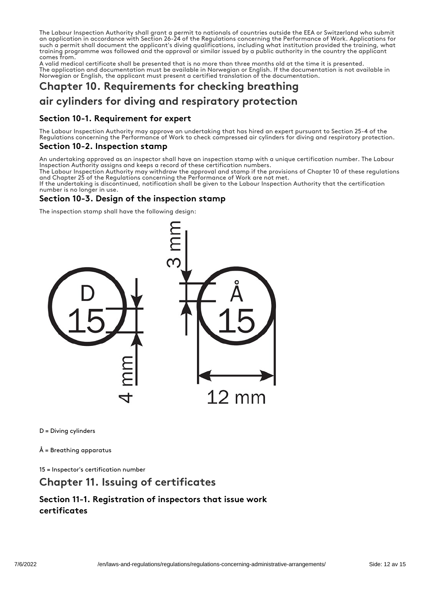The Labour Inspection Authority shall grant a permit to nationals of countries outside the EEA or Switzerland who submit an application in accordance with Section 26-24 of the Regulations concerning the Performance of Work. Applications for such a permit shall document the applicant's diving qualifications, including what institution provided the training, what training programme was followed and the approval or similar issued by a public authority in the country the applicant comes from.

A valid medical certificate shall be presented that is no more than three months old at the time it is presented. The application and documentation must be available in Norwegian or English. If the documentation is not available in Norwegian or English, the applicant must present a certified translation of the documentation.

## Chapter 10. Requirements for checking breathing

## air cylinders for diving and respiratory protection

#### Section 10-1. Requirement for expert

The Labour Inspection Authority may approve an undertaking that has hired an expert pursuant to Section 25-4 of the Regulations concerning the Performance of Work to check compressed air cylinders for diving and respiratory protection.

#### Section 10-2. Inspection stamp

An undertaking approved as an inspector shall have an inspection stamp with a unique certification number. The Labour Inspection Authority assigns and keeps a record of these certification numbers.

The Labour Inspection Authority may withdraw the approval and stamp if the provisions of Chapter 10 of these regulations and Chapter 25 of the Regulations concerning the Performance of Work are not met.

If the undertaking is discontinued, notification shall be given to the Labour Inspection Authority that the certification number is no longer in use.

#### Section 10-3. Design of the inspection stamp

The inspection stamp shall have the following design:



D = Diving cylinders

Å = Breathing apparatus

15 = Inspector's certification number

## Chapter 11. Issuing of certificates

#### Section 11-1. Registration of inspectors that issue work certificates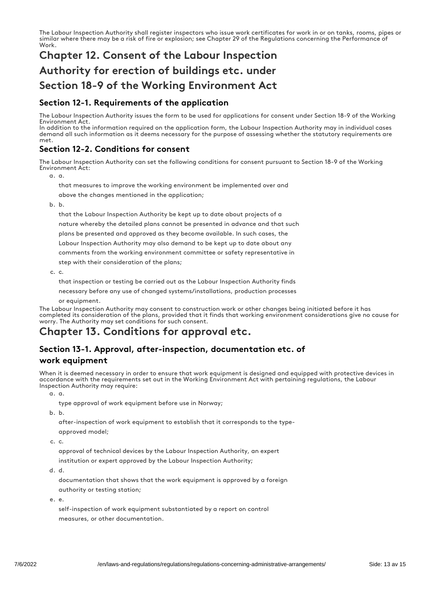The Labour Inspection Authority shall register inspectors who issue work certificates for work in or on tanks, rooms, pipes or similar where there may be a risk of fire or explosion; see Chapter 29 of the Regulations concerning the Performance of Work.

## Chapter 12. Consent of the Labour Inspection Authority for erection of buildings etc. under Section 18-9 of the Working Environment Act

#### Section 12-1. Requirements of the application

The Labour Inspection Authority issues the form to be used for applications for consent under Section 18-9 of the Working Environment Act.

In addition to the information required on the application form, the Labour Inspection Authority may in individual cases demand all such information as it deems necessary for the purpose of assessing whether the statutory requirements are met.

#### Section 12-2. Conditions for consent

The Labour Inspection Authority can set the following conditions for consent pursuant to Section 18-9 of the Working Environment Act:

a. a.

that measures to improve the working environment be implemented over and above the changes mentioned in the application;

b. b.

that the Labour Inspection Authority be kept up to date about projects of a nature whereby the detailed plans cannot be presented in advance and that such plans be presented and approved as they become available. In such cases, the Labour Inspection Authority may also demand to be kept up to date about any comments from the working environment committee or safety representative in step with their consideration of the plans;

c. c.

that inspection or testing be carried out as the Labour Inspection Authority finds necessary before any use of changed systems/installations, production processes

or equipment.

The Labour Inspection Authority may consent to construction work or other changes being initiated before it has completed its consideration of the plans, provided that it finds that working environment considerations give no cause for worry. The Authority may set conditions for such consent.

## Chapter 13. Conditions for approval etc.

#### Section 13-1. Approval, after-inspection, documentation etc. of

#### work equipment

When it is deemed necessary in order to ensure that work equipment is designed and equipped with protective devices in accordance with the requirements set out in the Working Environment Act with pertaining regulations, the Labour Inspection Authority may require:

a. a.

type approval of work equipment before use in Norway;

b. b.

after-inspection of work equipment to establish that it corresponds to the type-

approved model;

c. c.

approval of technical devices by the Labour Inspection Authority, an expert institution or expert approved by the Labour Inspection Authority;

d. d.

documentation that shows that the work equipment is approved by a foreign authority or testing station;

e. e.

self-inspection of work equipment substantiated by a report on control measures, or other documentation.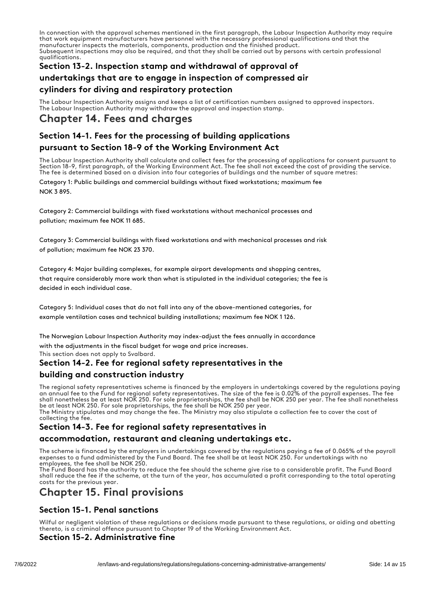In connection with the approval schemes mentioned in the first paragraph, the Labour Inspection Authority may require that work equipment manufacturers have personnel with the necessary professional qualifications and that the manufacturer inspects the materials, components, production and the finished product. Subsequent inspections may also be required, and that they shall be carried out by persons with certain professional qualifications.

## Section 13-2. Inspection stamp and withdrawal of approval of undertakings that are to engage in inspection of compressed air

#### cylinders for diving and respiratory protection

The Labour Inspection Authority assigns and keeps a list of certification numbers assigned to approved inspectors. The Labour Inspection Authority may withdraw the approval and inspection stamp.

## Chapter 14. Fees and charges

#### Section 14-1. Fees for the processing of building applications

#### pursuant to Section 18-9 of the Working Environment Act

The Labour Inspection Authority shall calculate and collect fees for the processing of applications for consent pursuant to Section 18-9, first paragraph, of the Working Environment Act. The fee shall not exceed the cost of providing the service. The fee is determined based on a division into four categories of buildings and the number of square metres:

Category 1: Public buildings and commercial buildings without fixed workstations; maximum fee NOK 3 895.

Category 2: Commercial buildings with fixed workstations without mechanical processes and pollution; maximum fee NOK 11 685.

Category 3: Commercial buildings with fixed workstations and with mechanical processes and risk of pollution; maximum fee NOK 23 370.

Category 4: Major building complexes, for example airport developments and shopping centres, that require considerably more work than what is stipulated in the individual categories; the fee is decided in each individual case.

Category 5: Individual cases that do not fall into any of the above-mentioned categories, for example ventilation cases and technical building installations; maximum fee NOK 1 126.

The Norwegian Labour Inspection Authority may index-adjust the fees annually in accordance with the adjustments in the fiscal budget for wage and price increases.

This section does not apply to Svalbard.

#### Section 14-2. Fee for regional safety representatives in the

#### building and construction industry

The regional safety representatives scheme is financed by the employers in undertakings covered by the regulations paying an annual fee to the Fund for regional safety representatives. The size of the fee is 0.02% of the payroll expenses. The fee shall nonetheless be at least NOK 250. For sole proprietorships, the fee shall be NOK 250 per year. The fee shall nonetheless be at least NOK 250. For sole proprietorships, the fee shall be NOK 250 per year.

The Ministry stipulates and may change the fee. The Ministry may also stipulate a collection fee to cover the cost of collecting the fee.

#### Section 14-3. Fee for regional safety representatives in

#### accommodation, restaurant and cleaning undertakings etc.

The scheme is financed by the employers in undertakings covered by the regulations paying a fee of 0.065% of the payroll expenses to a fund administered by the Fund Board. The fee shall be at least NOK 250. For undertakings with no employees, the fee shall be NOK 250.

The Fund Board has the authority to reduce the fee should the scheme give rise to a considerable profit. The Fund Board shall reduce the fee if the scheme, at the turn of the year, has accumulated a profit corresponding to the total operating costs for the previous year.

## Chapter 15. Final provisions

#### Section 15-1. Penal sanctions

Wilful or negligent violation of these regulations or decisions made pursuant to these regulations, or aiding and abetting thereto, is a criminal offence pursuant to Chapter 19 of the Working Environment Act.

#### Section 15-2. Administrative fine